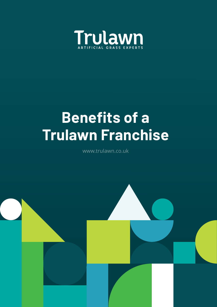

# **Benefits of a Trulawn Franchise**

www.trulawn.co.uk

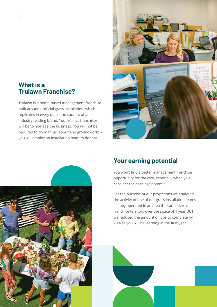## **What is a Trulawn Franchise?**

Trulawn is a home-based management franchise built around artificial grass installation, which replicates in every detail the success of an industry-leading brand. Your role as franchisor will be to manage the business. You will not be required to do manual labour and groundworks – you will employ an installation team to do that.





# **Your earning potential**

You won't find a better management franchise opportunity for the cost, especially when you consider the earnings potential.

For the purpose of our projections we analysed the activity of one of our grass installation teams as they operated in an area the same size as a franchise territory over the space of 1 year BUT we reduced the amount of jobs to complete by 20% as you will be learning in the first year.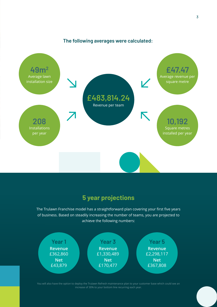

#### **The following averages were calculated:**

# **5 year projections**

The Trulawn Franchise model has a straightforward plan covering your first five years of business. Based on steadily increasing the number of teams, you are projected to achieve the following numbers:



You will also have the option to deploy the Trulawn Refresh maintenance plan to your customer base which could see an increase of 30% to your bottom line recurring each year.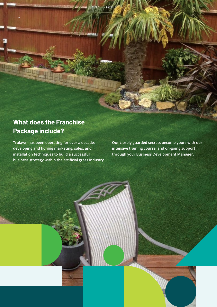# **What does the Franchise Package include?**

4

**Trulawn has been operating for over a decade; developing and honing marketing, sales, and installation techniques to build a successful business strategy within the artificial grass industry.** **Our closely guarded secrets become yours with our intensive training course, and on-going support through your Business Development Manager.**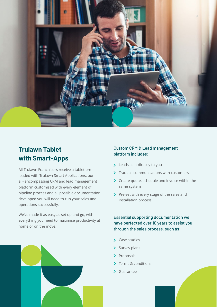

# **Trulawn Tablet with Smart-Apps**

All Trulawn Franchisors receive a tablet preloaded with Trulawn Smart Applications; our all- encompassing CRM and lead management platform customised with every element of pipeline process and all possible documentation developed you will need to run your sales and operations successfully.

We've made it as easy as set up and go, with everything you need to maximise productivity at home or on the move.

#### Custom CRM & Lead management platform includes:

- > Leads sent directly to you
- > Track all communications with customers
- S Create quote, schedule and invoice within the same system
- Pre-set with every stage of the sales and installation process

#### Essential supporting documentation we have perfected over 10 years to assist you through the sales process, such as:

- > Case studies
- $\sum$  Survey plans
- $\sum$  Proposals
- Terms & conditions  $\blacktriangleright$
- Guarantee

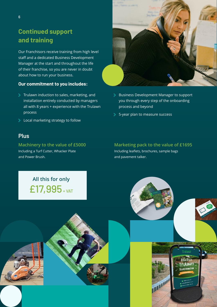# **Continued support and training**

Our Franchisors receive training from high level staff and a dedicated Business Development Manager at the start and throughout the life of their franchise, so you are never in doubt about how to run your business.

#### **Our commitment to you includes:**

- Trulawn induction to sales, marketing, and installation entirely conducted by managers all with 8 years + experience with the Trulawn process
- > Local marketing strategy to follow

### **Plus**

#### **Machinery to the value of £5000**

Including a Turf Cutter, Whacker Plate and Power Brush.

- Business Development Manager to support you through every step of the onboarding process and beyond
- > 5-year plan to measure success

#### **Marketing pack to the value of £1695**

Including leaflets, brochures, sample bags and pavement talker.

**All this for only** £17,995 + VAT





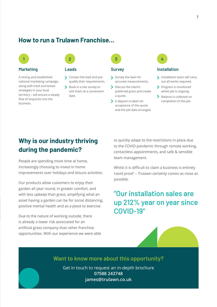### **How to run a Trulawn Franchise…**



#### **Marketing**

A strong and established national marketing campaign, along with tried and tested strategies in your local territory – will ensure a steady flow of enquiries into the business.



S Contact the lead and prequalify their requirements.

Book in a site survey to visit them at a convenient date.



- Survey the lawn for accurate measurements.
- > Discuss the client's preferred grass and create a quote.
- > A deposit is taken on acceptance of the quote and the job date arranged.



#### **Leads Survey Installation**

- Installation team will carry out all works required.
- > Progress is monitored whilst job is ongoing.
- > Balance is collected on completion of the job.

# **Why is our industry thriving during the pandemic?**

People are spending more time at home, increasingly choosing to invest in home improvements over holidays and leisure activities.

Our products allow customers to enjoy their garden all year round, in greater comfort, and with less upkeep than grass; amplifying what an asset having a garden can be for social distancing, positive mental health and as a place to exercise.

Due to the nature of working outside, there is already a lower risk associated for an artificial grass company than other franchise opportunities. With our experience we were able

to quickly adapt to the restrictions in place due to the COVID pandemic through remote working, contactless appointments, and safe & sensible team management.

Whilst it is difficult to claim a business is entirely 'covid proof' – Trulawn certainly comes as close as possible.

# "Our installation sales are up 212% year on year since COVID-19"

#### **Want to know more about this opportunity?**

Get in touch to request an in-depth brochure **07588 243748 james@trulawn.co.uk**